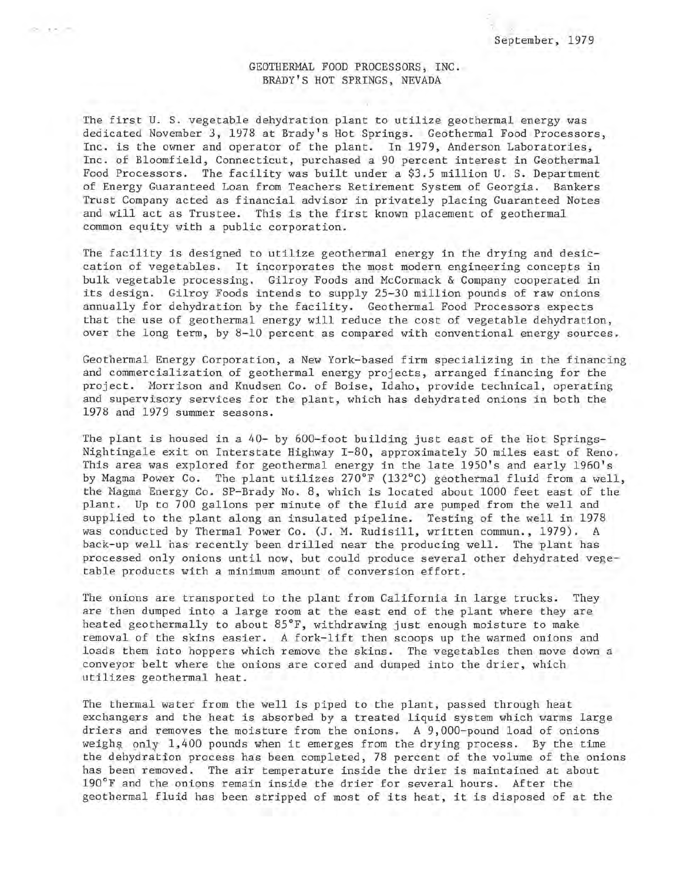## GEOTHERMAL FOOD PROCESSORS, INC. BRADY'S HOT SPRINGS, NEVADA

The first U. S. vegetable dehydration plant to utilize geothermal energy was dedicated November 3, 1978 at Brady's Hot Springs. Geothermal Food Processors, Inc. is the owner and operator of the plant. In 1979, Anderson Laboratories, Inc. of Bloomfield, Connecticut, purchased a 90 percent interest in Geothermal Food Processors. The facility was built under a \$3.5 million U. S. Department of Energy Guaranteed Loan from Teachers Retirement System of Georgia. Bankers Trust Company acted as financial advisor in privately placing Guaranteed Notes and will act as Trustee. This is the first known placement of geothermal common equity with a public corporation.

The facility is designed to utilize geothermal energy in the drying and desiccation of vegetables. It incorporates the most modern engineering concepts in bulk vegetable processing. Gilroy Foods and McCormack & Company cooperated in its design. Gilroy Foods intends to supply 25-30 million pounds of raw onions annually for dehydration by the facility. Geothermal Food Processors expects that the use of geothermal energy will reduce the cost of vegetable dehydration, over the long term, by 8-10 percent as compared with conventional energy sources.

Geothermal Energy Corporation, a New York-based firm specializing in the financing and commercialization of geothermal energy projects, arranged financing for the project. Morrison and Knudsen Co. of Boise, Idaho, provide technical, operating and supervisory services for the plant, which has dehydrated onions in both the 1978 and 1979 summer seasons.

The plant is housed in a 40- by 600-foot building just east of the Hot Springs-Nightingale exit on Interstate Highway 1-80, approximately 50 miles east of Reno. This area was explored for geothermal energy in the late 1950's and early 1960's by Magma Power Co. The plant utilizes 270°F (132°C) geothermal fluid from a well, the Magma Energy Co. SP-Brady No. 8, which is located about 1000 feet east of the plant. Up to 700 gallons per minute of the fluid are pumped from the well and supplied to the plant along an insulated pipeline. Testing of the well in 1978 was conducted by Thermal Power Co. (J. M. Rudisill, written commun., 1979). A back-up well has recently been drilled near the producing well. The plant has processed only onions until now., but could produce several other dehydrated vegetable products with a minimum amount of conversion effort.

The onions are transported to the plant from California in large trucks. They are then dumped into a large room at the east end of the plant where they are heated geothermally to about 85°F, withdrawing just enough moisture to make removal Of the skins easier. A fork-lift then scoops up the warmed onions and loads them into hoppers which remove the skins. The vegetables then move down a conveyor belt where the onions are cored and dumped into the drier, which utilizes geothermal heat.

The thermal water from the well is piped to the plant, passed through heat exchangers and the heat is absorbed by a treated liquid system which warms large driers and removes the moisture from the onions. A 9,000-pound load of onions weighs only 1,400 pounds when it emerges from the drying process. By the time the dehydration process has been completed, 78 percent of the volume of the onions has been removed. The air temperature inside the drier is maintained at about 190°F and the onions remain inside the drier for several hours. After the geothermal fluid has been stripped of most of its heat, it is disposed of at the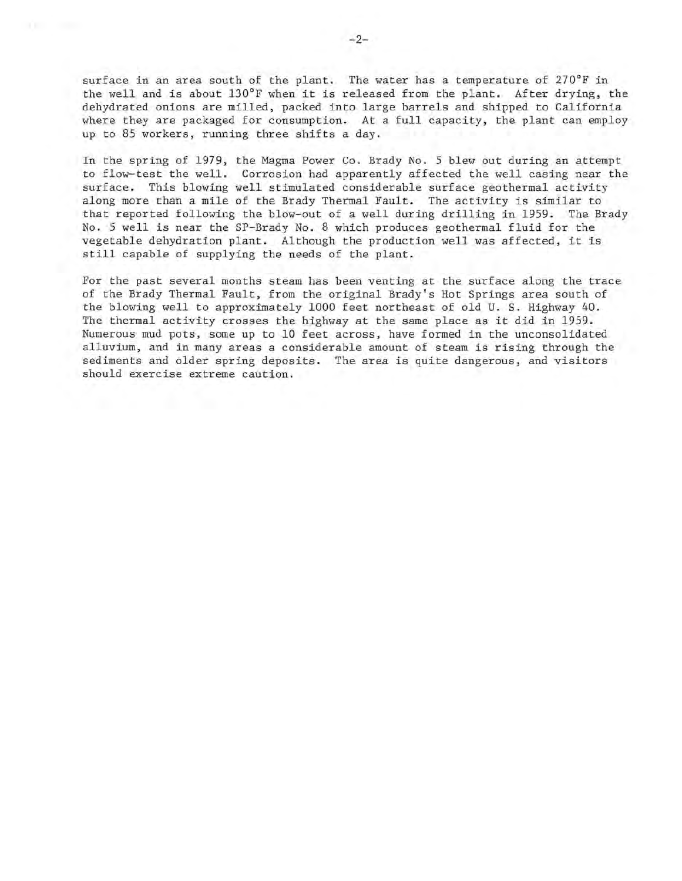surface in an area south of the plant. The water has a temperature of 270°F in the well and is about 130°F when it is released from the plant. After drying, the dehydrated onions are milled, packed into large barrels and shipped to California where they are packaged for consumption. At a full capacity, the plant can employ up to 85 workers, running three shifts a day.

In the spring of 1979, the Magma Power Co. Brady No. 5 blew out during an attempt to flow-test the well. Corrosion had apparently affected the well casing near the surface. This blowing well stimulated considerable surface geothermal activity along more than a mile of the Brady Thermal Fault. The activity is similar to that reported following the blow-out of a well during drilling in 1959. The Brady No. 5 well is near the SP-Brady No. 8 which produces geothermal fluid for the vegetable dehydration plant. Although the production well was affected, it is still capable of supplying the needs of the plant.

For the past several months steam has been venting at the surface along the trace of the Brady Thermal Fault, from the original Brady's Hot Springs area south of the blowing well to approximately 1000 feet northeast of old U. S. Highway 40. The thermal activity crosses the highway at the same place as it did in 1959. Numerous mud pots, some up to 10 feet across, have formed in the unconsolidated alluvium, and in many areas a considerable amount of steam is rising through the sediments and older spring deposits. The area is quite dangerous, and visitors should exercise extreme caution.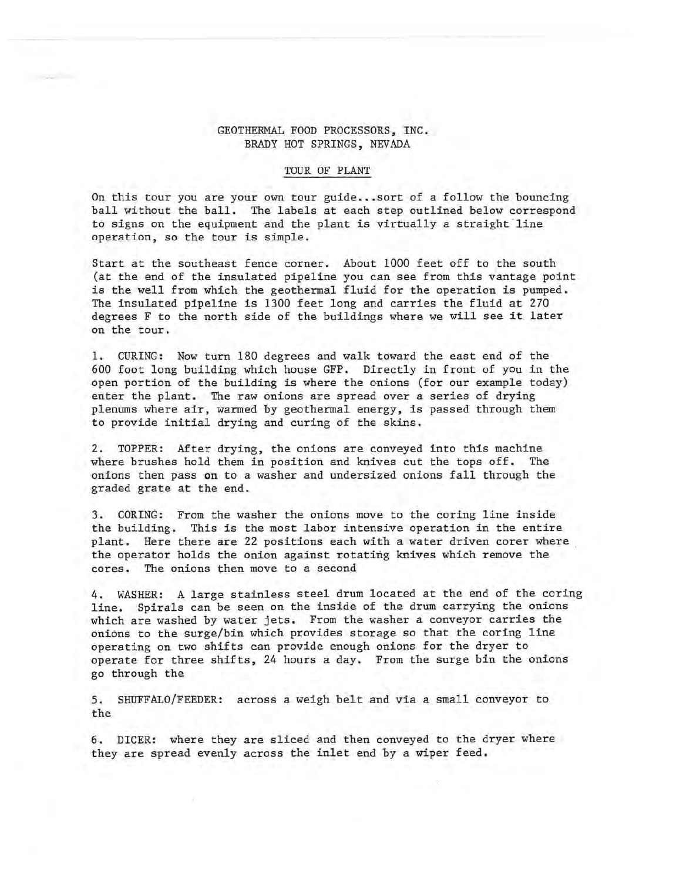## GEOTHERMAL FOOD PROCESSORS, INC. BRADY HOT SPRINGS, NEVADA

## TOUR OF PLANT

On this tour you are your own tour guide .•. sort of a follow the bouncing ball without the ball. The labels at each step outlined below correspond to signs on the equipment and the plant is virtually a straight line operation, so the tour is simple.

Start at the southeast fence corner. About 1000 feet off to the south (at the end of the insulated pipeline you can see from this vantage point is the well from which the geothermal fluid for the operation is pumped. The insulated pipeline is 1300 feet long and carries the fluid at 270 degrees F to the north side of the buildings where we will see it later on the tour.

1. CURING: Now turn 180 degrees and walk toward the east end of the 600 foot long building which house GFP. Directly in front of you in the open portion of the building is where the onions (for our example today) enter the plant. The raw onions are spread over a series of drying plenums where air, warmed by geothermal energy, is passed through them to provide initial drying and curing of the skins.

2. TOPPER: After drying, the onions are conveyed into this machine where brushes hold them in position and knives cut the tops off. The onions then pass on to a washer and undersized onions fall through the graded grate at the end.

3. CORING: From the washer the onions move to the coring line inside the building. This is the most labor intensive operation in the entire plant. Here there are 22 positions each with a water driven corer where the operator holds the onion against rotating knives which remove the cores. The onions then move to a second

4. WASHER: A large stainless steel drum located at the end of the coring line. Spirals can be seen on the inside of the drum carrying the onions which are washed by water jets. From the washer a conveyor carries the onions to the surge/bin which provides storage so that the coring line operating on two shifts can provide enough onions for the dryer to operate for three shifts, 24 hours a day. From the surge bin the onions go through the

5. SHUFFALO/FEEDER: across a weigh belt and via a small conveyor to the

6. DICER: where they are sliced and then conveyed to the dryer where they are spread evenly across the inlet end by a wiper feed.